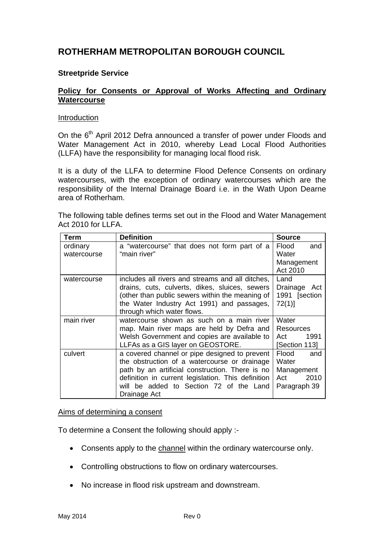# **ROTHERHAM METROPOLITAN BOROUGH COUNCIL**

### **Streetpride Service**

### **Policy for Consents or Approval of Works Affecting and Ordinary Watercourse**

#### Introduction

On the 6<sup>th</sup> April 2012 Defra announced a transfer of power under Floods and Water Management Act in 2010, whereby Lead Local Flood Authorities (LLFA) have the responsibility for managing local flood risk.

It is a duty of the LLFA to determine Flood Defence Consents on ordinary watercourses, with the exception of ordinary watercourses which are the responsibility of the Internal Drainage Board i.e. in the Wath Upon Dearne area of Rotherham.

The following table defines terms set out in the Flood and Water Management Act 2010 for LLFA.

| Term        | <b>Definition</b>                                  | <b>Source</b>   |
|-------------|----------------------------------------------------|-----------------|
| ordinary    | a "watercourse" that does not form part of a       | Flood<br>and    |
| watercourse | "main river"                                       | Water           |
|             |                                                    | Management      |
|             |                                                    | Act 2010        |
| watercourse | includes all rivers and streams and all ditches,   | Land            |
|             | drains, cuts, culverts, dikes, sluices, sewers     | Drainage<br>Act |
|             | (other than public sewers within the meaning of    | 1991 [section   |
|             | the Water Industry Act 1991) and passages,         | 72(1)           |
|             | through which water flows.                         |                 |
| main river  | watercourse shown as such on a main river          | Water           |
|             | map. Main river maps are held by Defra and         | Resources       |
|             | Welsh Government and copies are available to       | Act<br>1991     |
|             | LLFAs as a GIS layer on GEOSTORE.                  | [Section 113]   |
| culvert     | a covered channel or pipe designed to prevent      | Flood<br>and    |
|             | the obstruction of a watercourse or drainage       | Water           |
|             | path by an artificial construction. There is no    | Management      |
|             | definition in current legislation. This definition | 2010<br>Act     |
|             | will be added to Section 72 of the Land            | Paragraph 39    |
|             | Drainage Act                                       |                 |

#### Aims of determining a consent

To determine a Consent the following should apply :-

- Consents apply to the channel within the ordinary watercourse only.
- Controlling obstructions to flow on ordinary watercourses.
- No increase in flood risk upstream and downstream.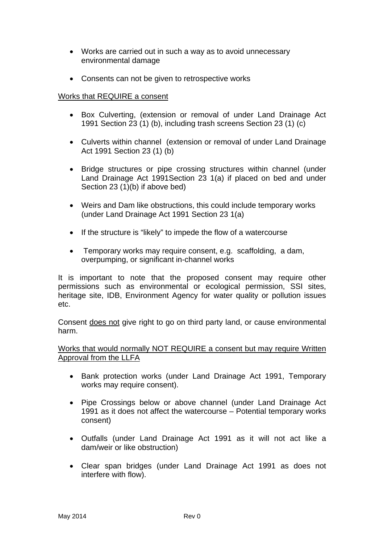- Works are carried out in such a way as to avoid unnecessary environmental damage
- Consents can not be given to retrospective works

### Works that REQUIRE a consent

- Box Culverting, (extension or removal of under Land Drainage Act 1991 Section 23 (1) (b), including trash screens Section 23 (1) (c)
- Culverts within channel (extension or removal of under Land Drainage Act 1991 Section 23 (1) (b)
- Bridge structures or pipe crossing structures within channel (under Land Drainage Act 1991Section 23 1(a) if placed on bed and under Section 23 (1)(b) if above bed)
- Weirs and Dam like obstructions, this could include temporary works (under Land Drainage Act 1991 Section 23 1(a)
- If the structure is "likely" to impede the flow of a watercourse
- Temporary works may require consent, e.g. scaffolding, a dam, overpumping, or significant in-channel works

It is important to note that the proposed consent may require other permissions such as environmental or ecological permission, SSI sites, heritage site, IDB, Environment Agency for water quality or pollution issues etc.

Consent does not give right to go on third party land, or cause environmental harm.

Works that would normally NOT REQUIRE a consent but may require Written Approval from the LLFA

- Bank protection works (under Land Drainage Act 1991, Temporary works may require consent).
- Pipe Crossings below or above channel (under Land Drainage Act 1991 as it does not affect the watercourse – Potential temporary works consent)
- Outfalls (under Land Drainage Act 1991 as it will not act like a dam/weir or like obstruction)
- Clear span bridges (under Land Drainage Act 1991 as does not interfere with flow).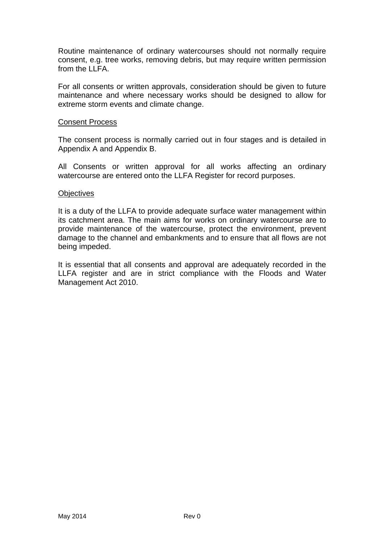Routine maintenance of ordinary watercourses should not normally require consent, e.g. tree works, removing debris, but may require written permission from the LLFA.

For all consents or written approvals, consideration should be given to future maintenance and where necessary works should be designed to allow for extreme storm events and climate change.

#### Consent Process

The consent process is normally carried out in four stages and is detailed in Appendix A and Appendix B.

All Consents or written approval for all works affecting an ordinary watercourse are entered onto the LLFA Register for record purposes.

#### **Objectives**

It is a duty of the LLFA to provide adequate surface water management within its catchment area. The main aims for works on ordinary watercourse are to provide maintenance of the watercourse, protect the environment, prevent damage to the channel and embankments and to ensure that all flows are not being impeded.

It is essential that all consents and approval are adequately recorded in the LLFA register and are in strict compliance with the Floods and Water Management Act 2010.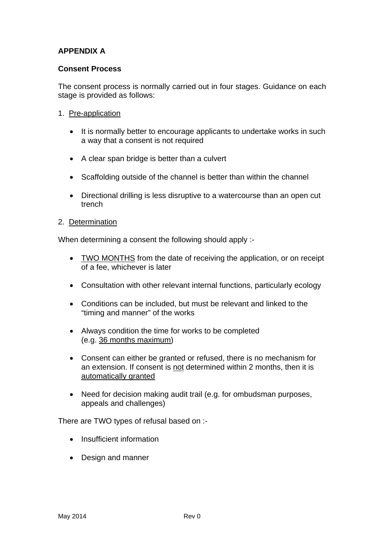# **APPENDIX A**

### **Consent Process**

The consent process is normally carried out in four stages. Guidance on each stage is provided as follows:

- 1. Pre-application
	- It is normally better to encourage applicants to undertake works in such a way that a consent is not required
	- A clear span bridge is better than a culvert
	- Scaffolding outside of the channel is better than within the channel
	- Directional drilling is less disruptive to a watercourse than an open cut trench
- 2. Determination

When determining a consent the following should apply :-

- TWO MONTHS from the date of receiving the application, or on receipt of a fee, whichever is later
- Consultation with other relevant internal functions, particularly ecology
- Conditions can be included, but must be relevant and linked to the "timing and manner" of the works
- Always condition the time for works to be completed (e.g. 36 months maximum)
- Consent can either be granted or refused, there is no mechanism for an extension. If consent is not determined within 2 months, then it is automatically granted
- Need for decision making audit trail (e.g. for ombudsman purposes, appeals and challenges)

There are TWO types of refusal based on :-

- Insufficient information
- Design and manner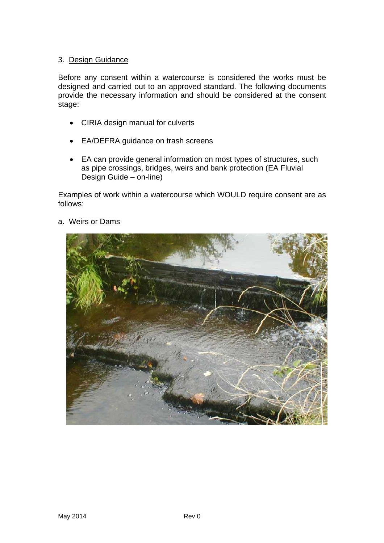### 3. Design Guidance

Before any consent within a watercourse is considered the works must be designed and carried out to an approved standard. The following documents provide the necessary information and should be considered at the consent stage:

- CIRIA design manual for culverts
- EA/DEFRA guidance on trash screens
- EA can provide general information on most types of structures, such as pipe crossings, bridges, weirs and bank protection (EA Fluvial Design Guide – on-line)

Examples of work within a watercourse which WOULD require consent are as follows:



a. Weirs or Dams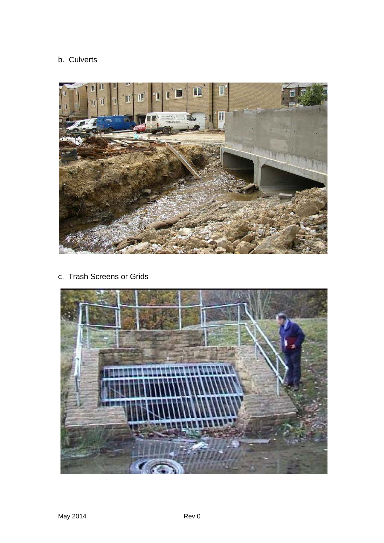# b. Culverts



c. Trash Screens or Grids

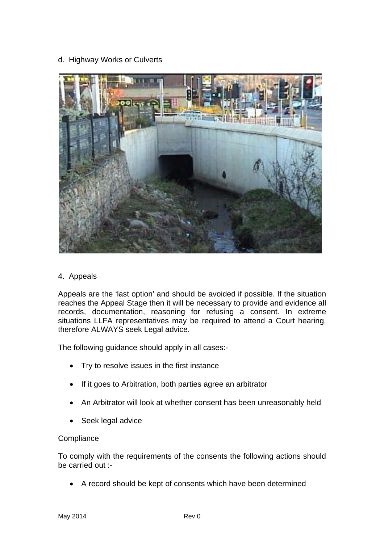### d. Highway Works or Culverts



#### 4. Appeals

Appeals are the 'last option' and should be avoided if possible. If the situation reaches the Appeal Stage then it will be necessary to provide and evidence all records, documentation, reasoning for refusing a consent. In extreme situations LLFA representatives may be required to attend a Court hearing, therefore ALWAYS seek Legal advice.

The following guidance should apply in all cases:-

- Try to resolve issues in the first instance
- If it goes to Arbitration, both parties agree an arbitrator
- An Arbitrator will look at whether consent has been unreasonably held
- Seek legal advice

### **Compliance**

To comply with the requirements of the consents the following actions should be carried out :-

A record should be kept of consents which have been determined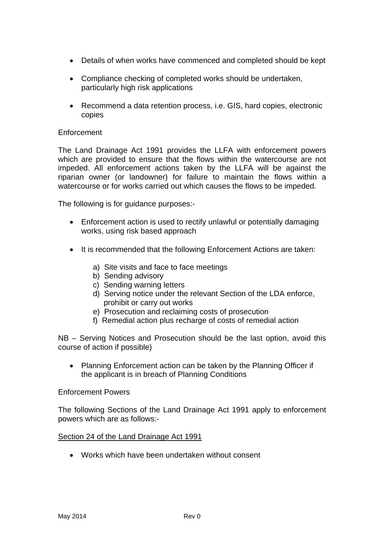- Details of when works have commenced and completed should be kept
- Compliance checking of completed works should be undertaken, particularly high risk applications
- Recommend a data retention process, i.e. GIS, hard copies, electronic copies

### Enforcement

The Land Drainage Act 1991 provides the LLFA with enforcement powers which are provided to ensure that the flows within the watercourse are not impeded. All enforcement actions taken by the LLFA will be against the riparian owner (or landowner) for failure to maintain the flows within a watercourse or for works carried out which causes the flows to be impeded.

The following is for guidance purposes:-

- Enforcement action is used to rectify unlawful or potentially damaging works, using risk based approach
- It is recommended that the following Enforcement Actions are taken:
	- a) Site visits and face to face meetings
	- b) Sending advisory
	- c) Sending warning letters
	- d) Serving notice under the relevant Section of the LDA enforce, prohibit or carry out works
	- e) Prosecution and reclaiming costs of prosecution
	- f) Remedial action plus recharge of costs of remedial action

NB – Serving Notices and Prosecution should be the last option, avoid this course of action if possible)

 Planning Enforcement action can be taken by the Planning Officer if the applicant is in breach of Planning Conditions

#### Enforcement Powers

The following Sections of the Land Drainage Act 1991 apply to enforcement powers which are as follows:-

#### Section 24 of the Land Drainage Act 1991

Works which have been undertaken without consent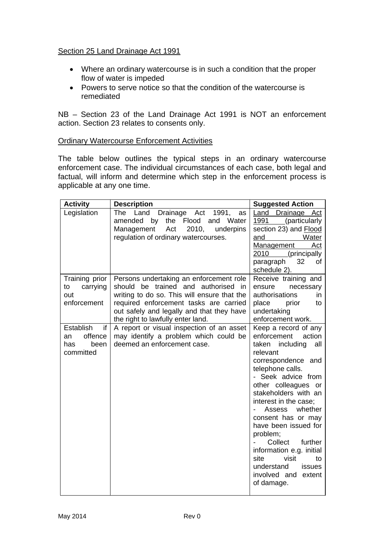## Section 25 Land Drainage Act 1991

- Where an ordinary watercourse is in such a condition that the proper flow of water is impeded
- Powers to serve notice so that the condition of the watercourse is remediated

NB – Section 23 of the Land Drainage Act 1991 is NOT an enforcement action. Section 23 relates to consents only.

### Ordinary Watercourse Enforcement Activities

The table below outlines the typical steps in an ordinary watercourse enforcement case. The individual circumstances of each case, both legal and factual, will inform and determine which step in the enforcement process is applicable at any one time.

| <b>Activity</b>                                              | <b>Description</b>                                                                                                                                                                                                                                        | <b>Suggested Action</b>                                                                                                                                                                                                                                                                                                                                                                                                                             |
|--------------------------------------------------------------|-----------------------------------------------------------------------------------------------------------------------------------------------------------------------------------------------------------------------------------------------------------|-----------------------------------------------------------------------------------------------------------------------------------------------------------------------------------------------------------------------------------------------------------------------------------------------------------------------------------------------------------------------------------------------------------------------------------------------------|
| Legislation                                                  | Land<br>Drainage Act<br>The<br>1991,<br>as<br>Flood<br>amended<br>by<br>the<br>and<br>Water<br>2010,<br>underpins<br>Management<br>Act<br>regulation of ordinary watercourses.                                                                            | Land Drainage<br>Act<br><u> 1991 - </u><br>(particularly<br>section 23) and <b>Flood</b><br>and<br>Water<br><b>Management</b><br>Act<br>2010 (principally<br>32<br>paragraph<br>οf<br>schedule 2).                                                                                                                                                                                                                                                  |
| Training prior<br>carrying<br>to<br>out<br>enforcement       | Persons undertaking an enforcement role<br>should be trained and authorised in<br>writing to do so. This will ensure that the<br>required enforcement tasks are carried<br>out safely and legally and that they have<br>the right to lawfully enter land. | Receive training and<br>ensure<br>necessary<br>authorisations<br>in.<br>place<br>prior<br>to<br>undertaking<br>enforcement work.                                                                                                                                                                                                                                                                                                                    |
| Establish<br>if<br>offence<br>an<br>has<br>been<br>committed | A report or visual inspection of an asset<br>may identify a problem which could be<br>deemed an enforcement case.                                                                                                                                         | Keep a record of any<br>enforcement<br>action<br>taken including<br>all<br>relevant<br>correspondence and<br>telephone calls.<br>- Seek advice from<br>other colleagues or<br>stakeholders with an<br>interest in the case;<br>whether<br>Assess<br>consent has or may<br>have been issued for<br>problem;<br>Collect<br>further<br>information e.g. initial<br>visit<br>site<br>to<br>understand<br>issues<br>involved and<br>extent<br>of damage. |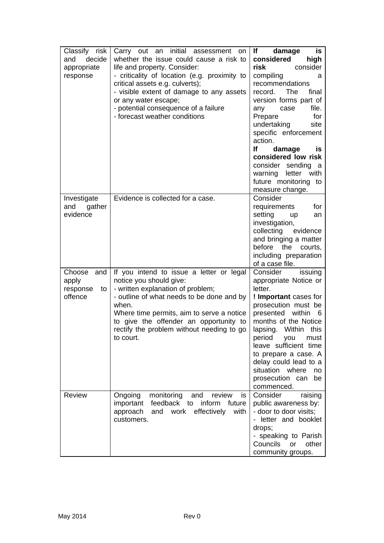| Classify risk<br>decide<br>and<br>appropriate<br>response | Carry out an initial assessment on<br>whether the issue could cause a risk to<br>life and property. Consider:<br>- criticality of location (e.g. proximity to<br>critical assets e.g. culverts);<br>- visible extent of damage to any assets<br>or any water escape;<br>- potential consequence of a failure<br>- forecast weather conditions | lf<br>damage<br>is<br>considered<br>high<br>risk<br>consider<br>compiling<br>a<br>recommendations<br>The<br>final<br>record.<br>version forms part of<br>file.<br>any<br>case<br>for<br>Prepare<br>undertaking<br>site<br>specific enforcement<br>action.<br>lf<br>damage<br>is<br>considered low risk<br>consider sending<br>a<br>warning<br>letter<br>with<br>future monitoring to<br>measure change. |
|-----------------------------------------------------------|-----------------------------------------------------------------------------------------------------------------------------------------------------------------------------------------------------------------------------------------------------------------------------------------------------------------------------------------------|---------------------------------------------------------------------------------------------------------------------------------------------------------------------------------------------------------------------------------------------------------------------------------------------------------------------------------------------------------------------------------------------------------|
| Investigate<br>and<br>gather<br>evidence                  | Evidence is collected for a case.                                                                                                                                                                                                                                                                                                             | Consider<br>requirements<br>for<br>setting<br>up<br>an<br>investigation,<br>collecting<br>evidence<br>and bringing a matter<br>before<br>the<br>courts,<br>including preparation<br>of a case file.                                                                                                                                                                                                     |
| Choose<br>and<br>apply<br>response<br>to<br>offence       | If you intend to issue a letter or legal<br>notice you should give:<br>- written explanation of problem;<br>- outline of what needs to be done and by<br>when.<br>Where time permits, aim to serve a notice<br>to give the offender an opportunity to<br>rectify the problem without needing to go<br>to court.                               | Consider<br>issuing<br>appropriate Notice or<br>letter.<br>! Important cases for<br>prosecution must be<br>within<br>presented<br>- 6<br>months of the Notice<br>lapsing. Within this<br>you<br>period<br>must<br>leave sufficient time<br>to prepare a case. A<br>delay could lead to a<br>situation where<br>no<br>prosecution can<br>be<br>commenced.                                                |
| Review                                                    | Ongoing<br>monitoring<br>and<br>review<br>is.<br>feedback to<br>important<br>inform<br>future<br>and work<br>effectively<br>approach<br>with<br>customers.                                                                                                                                                                                    | Consider<br>raising<br>public awareness by:<br>- door to door visits;<br>- letter and booklet<br>drops;<br>- speaking to Parish<br>Councils<br>other<br>or<br>community groups.                                                                                                                                                                                                                         |